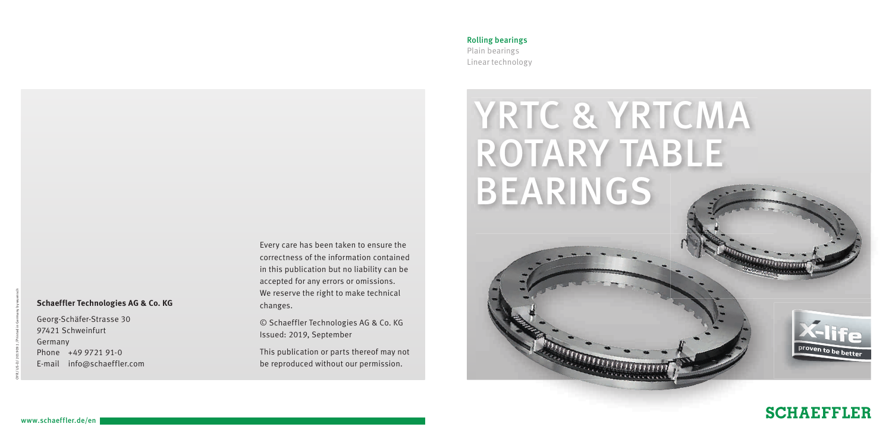### **Schaeffler Technologies AG & Co. KG**

Georg-Schäfer-Strasse 30 97421 Schweinfurt Germany Phone +49 9721 91-0 E-mail info@schaeffler.com Every care has been taken to ensure the correctness of the information contained in this publication but no liability can be accepted for any errors or omissions. We reserve the right to make technical changes.

© Schaeffler Technologies AG & Co. KG Issued: 2019, September

This publication or parts thereof may not be reproduced without our permission.

### Rolling bearings Plain bearings Linear technology



# **SCHAEFFLER**

OYR / US-D / 201909.1 / Printed in Germany by wuensch